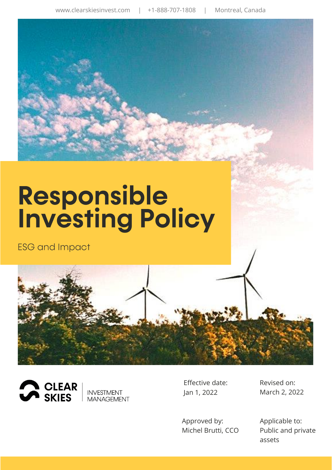# **Responsible<br>Investing Policy**

**ESG** and Impact







Effective date: Jan 1, 2022

Approved by: Michel Brutti, CCO Revised on: March 2, 2022

Applicable to: Public and private assets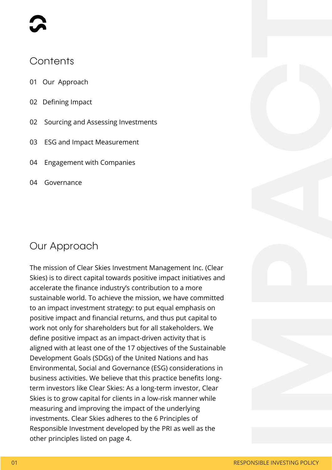#### Contents

- 01 Our Approach
- 02 Defining Impact
- 02 Sourcing and Assessing Investments
- 03 ESG and Impact Measurement
- 04 Engagement with Companies
- 04 Governance

#### Our Approach

The mission of Clear Skies Investment Management Inc. (Clear Skies) is to direct capital towards positive impact initiatives and accelerate the finance industry's contribution to a more sustainable world. To achieve the mission, we have committed to an impact investment strategy: to put equal emphasis on positive impact and financial returns, and thus put capital to work not only for shareholders but for all stakeholders. We define positive impact as an impact-driven activity that is aligned with at least one of the 17 objectives of the Sustainable Development Goals (SDGs) of the United Nations and has Environmental, Social and Governance (ESG) considerations in business activities. We believe that this practice benefits longterm investors like Clear Skies: As a long-term investor, Clear Skies is to grow capital for clients in a low-risk manner while measuring and improving the impact of the underlying investments. Clear Skies adheres to the 6 Principles of Responsible Investment developed by the PRI as well as the other principles listed on page 4.

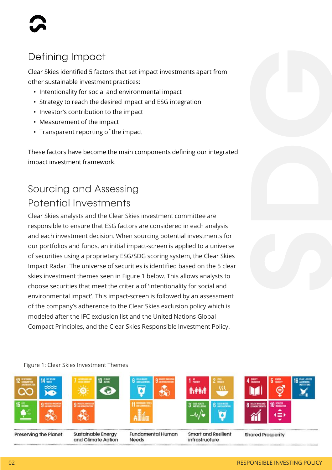# Defining Impact

Clear Skies identified 5 factors that set impact investments apart from other sustainable investment practices:

- Intentionality for social and environmental impact
- Strategy to reach the desired impact and ESG integration
- Investor's contribution to the impact
- Measurement of the impact
- Transparent reporting of the impact

These factors have become the main components defining our integrated impact investment framework.

# Sourcing and Assessing Potential Investments

Clear Skies analysts and the Clear Skies investment committee are responsible to ensure that ESG factors are considered in each analysis and each investment decision. When sourcing potential investments for our portfolios and funds, an initial impact-screen is applied to a universe of securities using a proprietary ESG/SDG scoring system, the Clear Skies Impact Radar. The universe of securities is identified based on the 5 clear skies investment themes seen in Figure 1 below. This allows analysts to choose securities that meet the criteria of 'intentionality for social and environmental impact'. This impact-screen is followed by an assessment of the company's adherence to the Clear Skies exclusion policy which is modeled after the IFC exclusion list and the United Nations Global Compact Principles, and the Clear Skies Responsible Investment Policy.



#### RESPONSIBLE INVESTING POLICY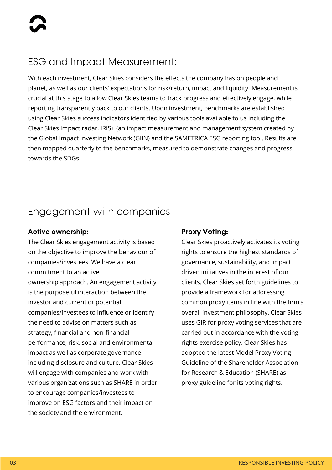## **ESG and Impact Measurement:**

With each investment, Clear Skies considers the effects the company has on people and planet, as well as our clients' expectations for risk/return, impact and liquidity. Measurement is crucial at this stage to allow Clear Skies teams to track progress and effectively engage, while reporting transparently back to our clients. Upon investment, benchmarks are established using Clear Skies success indicators identified by various tools available to us including the Clear Skies Impact radar, IRIS+ (an impact measurement and management system created by the Global Impact Investing Network (GIIN) and the SAMETRICA ESG reporting tool. Results are then mapped quarterly to the benchmarks, measured to demonstrate changes and progress towards the SDGs.

#### Engagement with companies

#### **Active ownership:**

The Clear Skies engagement activity is based on the objective to improve the behaviour of companies/investees. We have a clear commitment to an active ownership approach. An engagement activity is the purposeful interaction between the investor and current or potential companies/investees to influence or identify the need to advise on matters such as strategy, financial and non-financial performance, risk, social and environmental impact as well as corporate governance including disclosure and culture. Clear Skies will engage with companies and work with various organizations such as SHARE in order to encourage companies/investees to improve on ESG factors and their impact on the society and the environment.

#### **Proxy Voting:**

Clear Skies proactively activates its voting rights to ensure the highest standards of governance, sustainability, and impact driven initiatives in the interest of our clients. Clear Skies set forth guidelines to provide a framework for addressing common proxy items in line with the firm's overall investment philosophy. Clear Skies uses GIR for proxy voting services that are carried out in accordance with the voting rights exercise policy. Clear Skies has adopted the latest Model Proxy Voting Guideline of the Shareholder Association for Research & Education (SHARE) as proxy guideline for its voting rights.